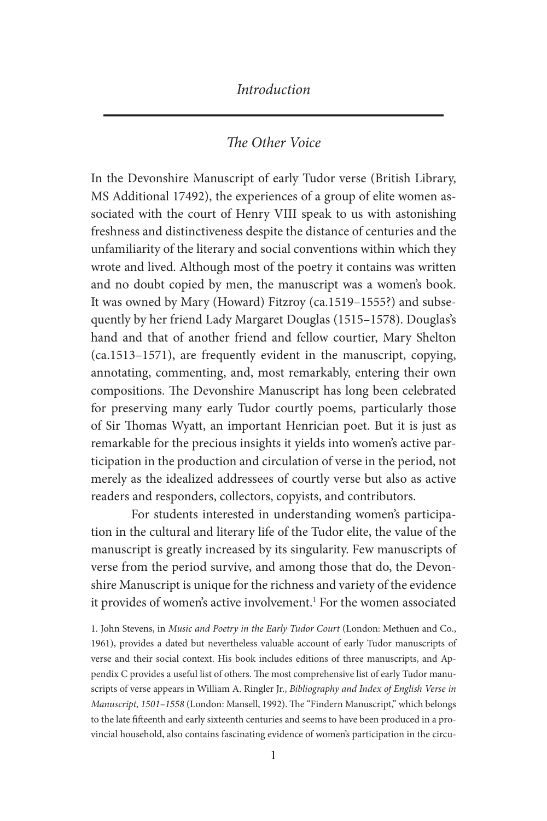### *The Other Voice*

In the Devonshire Manuscript of early Tudor verse (British Library, MS Additional 17492), the experiences of a group of elite women associated with the court of Henry VIII speak to us with astonishing freshness and distinctiveness despite the distance of centuries and the unfamiliarity of the literary and social conventions within which they wrote and lived. Although most of the poetry it contains was written and no doubt copied by men, the manuscript was a women's book. It was owned by Mary (Howard) Fitzroy (ca.1519–1555?) and subsequently by her friend Lady Margaret Douglas (1515–1578). Douglas's hand and that of another friend and fellow courtier, Mary Shelton (ca.1513–1571), are frequently evident in the manuscript, copying, annotating, commenting, and, most remarkably, entering their own compositions. The Devonshire Manuscript has long been celebrated for preserving many early Tudor courtly poems, particularly those of Sir Thomas Wyatt, an important Henrician poet. But it is just as remarkable for the precious insights it yields into women's active participation in the production and circulation of verse in the period, not merely as the idealized addressees of courtly verse but also as active readers and responders, collectors, copyists, and contributors.

For students interested in understanding women's participation in the cultural and literary life of the Tudor elite, the value of the manuscript is greatly increased by its singularity. Few manuscripts of verse from the period survive, and among those that do, the Devonshire Manuscript is unique for the richness and variety of the evidence it provides of women's active involvement.<sup>1</sup> For the women associated

1. John Stevens, in *Music and Poetry in the Early Tudor Court* (London: Methuen and Co., 1961), provides a dated but nevertheless valuable account of early Tudor manuscripts of verse and their social context. His book includes editions of three manuscripts, and Appendix C provides a useful list of others. The most comprehensive list of early Tudor manuscripts of verse appears in William A. Ringler Jr., *Bibliography and Index of English Verse in Manuscript, 1501–1558* (London: Mansell, 1992). The "Findern Manuscript," which belongs to the late fifteenth and early sixteenth centuries and seems to have been produced in a provincial household, also contains fascinating evidence of women's participation in the circu-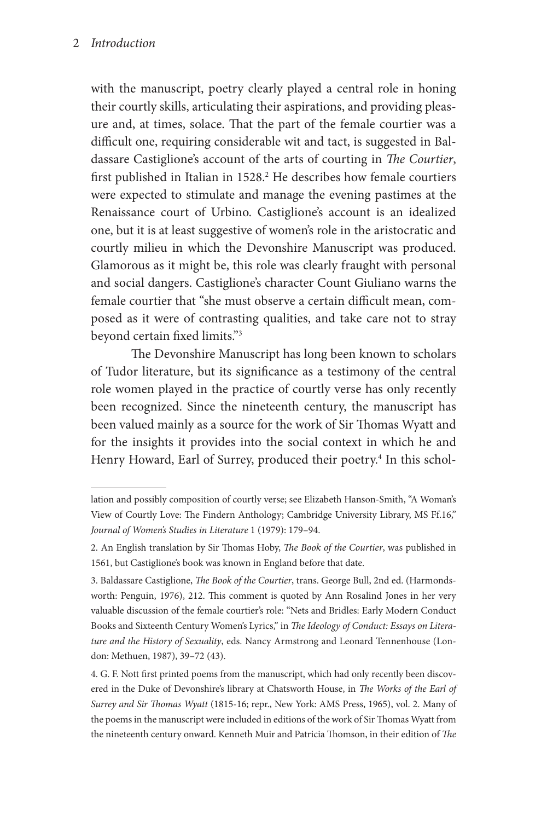#### 2 *Introduction*

with the manuscript, poetry clearly played a central role in honing their courtly skills, articulating their aspirations, and providing pleasure and, at times, solace. That the part of the female courtier was a difficult one, requiring considerable wit and tact, is suggested in Baldassare Castiglione's account of the arts of courting in *The Courtier*, first published in Italian in 1528.<sup>2</sup> He describes how female courtiers were expected to stimulate and manage the evening pastimes at the Renaissance court of Urbino. Castiglione's account is an idealized one, but it is at least suggestive of women's role in the aristocratic and courtly milieu in which the Devonshire Manuscript was produced. Glamorous as it might be, this role was clearly fraught with personal and social dangers. Castiglione's character Count Giuliano warns the female courtier that "she must observe a certain difficult mean, composed as it were of contrasting qualities, and take care not to stray beyond certain fixed limits."3

The Devonshire Manuscript has long been known to scholars of Tudor literature, but its significance as a testimony of the central role women played in the practice of courtly verse has only recently been recognized. Since the nineteenth century, the manuscript has been valued mainly as a source for the work of Sir Thomas Wyatt and for the insights it provides into the social context in which he and Henry Howard, Earl of Surrey, produced their poetry.<sup>4</sup> In this schol-

lation and possibly composition of courtly verse; see Elizabeth Hanson-Smith, "A Woman's View of Courtly Love: The Findern Anthology; Cambridge University Library, MS Ff.16," *Journal of Women's Studies in Literature* 1 (1979): 179–94.

<sup>2.</sup> An English translation by Sir Thomas Hoby, *The Book of the Courtier*, was published in 1561, but Castiglione's book was known in England before that date.

<sup>3.</sup> Baldassare Castiglione, *The Book of the Courtier*, trans. George Bull, 2nd ed. (Harmondsworth: Penguin, 1976), 212. This comment is quoted by Ann Rosalind Jones in her very valuable discussion of the female courtier's role: "Nets and Bridles: Early Modern Conduct Books and Sixteenth Century Women's Lyrics," in *The Ideology of Conduct: Essays on Literature and the History of Sexuality*, eds. Nancy Armstrong and Leonard Tennenhouse (London: Methuen, 1987), 39–72 (43).

<sup>4.</sup> G. F. Nott first printed poems from the manuscript, which had only recently been discovered in the Duke of Devonshire's library at Chatsworth House, in *The Works of the Earl of Surrey and Sir Thomas Wyatt* (1815-16; repr., New York: AMS Press, 1965), vol. 2. Many of the poems in the manuscript were included in editions of the work of Sir Thomas Wyatt from the nineteenth century onward. Kenneth Muir and Patricia Thomson, in their edition of *The*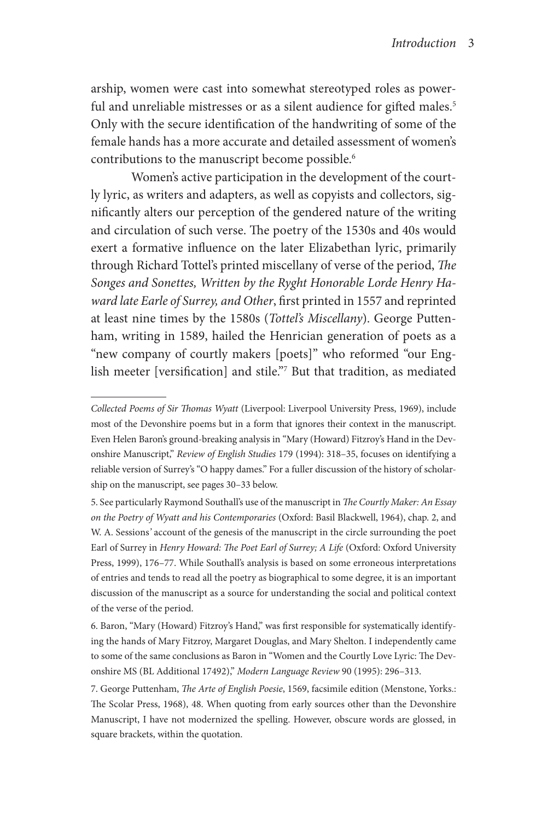arship, women were cast into somewhat stereotyped roles as powerful and unreliable mistresses or as a silent audience for gifted males.<sup>5</sup> Only with the secure identification of the handwriting of some of the female hands has a more accurate and detailed assessment of women's contributions to the manuscript become possible.<sup>6</sup>

Women's active participation in the development of the courtly lyric, as writers and adapters, as well as copyists and collectors, significantly alters our perception of the gendered nature of the writing and circulation of such verse. The poetry of the 1530s and 40s would exert a formative influence on the later Elizabethan lyric, primarily through Richard Tottel's printed miscellany of verse of the period, *The Songes and Sonettes, Written by the Ryght Honorable Lorde Henry Haward late Earle of Surrey, and Other*, first printed in 1557 and reprinted at least nine times by the 1580s (*Tottel's Miscellany*). George Puttenham, writing in 1589, hailed the Henrician generation of poets as a "new company of courtly makers [poets]" who reformed "our English meeter [versification] and stile."7 But that tradition, as mediated

*Collected Poems of Sir Thomas Wyatt* (Liverpool: Liverpool University Press, 1969), include most of the Devonshire poems but in a form that ignores their context in the manuscript. Even Helen Baron's ground-breaking analysis in "Mary (Howard) Fitzroy's Hand in the Devonshire Manuscript," *Review of English Studies* 179 (1994): 318–35, focuses on identifying a reliable version of Surrey's "O happy dames." For a fuller discussion of the history of scholarship on the manuscript, see pages 30–33 below.

<sup>5.</sup> See particularly Raymond Southall's use of the manuscript in *The Courtly Maker: An Essay on the Poetry of Wyatt and his Contemporaries* (Oxford: Basil Blackwell, 1964), chap. 2, and W. A. Sessions*'* account of the genesis of the manuscript in the circle surrounding the poet Earl of Surrey in *Henry Howard: The Poet Earl of Surrey; A Life* (Oxford: Oxford University Press, 1999), 176–77. While Southall's analysis is based on some erroneous interpretations of entries and tends to read all the poetry as biographical to some degree, it is an important discussion of the manuscript as a source for understanding the social and political context of the verse of the period.

<sup>6.</sup> Baron, "Mary (Howard) Fitzroy's Hand," was first responsible for systematically identifying the hands of Mary Fitzroy, Margaret Douglas, and Mary Shelton. I independently came to some of the same conclusions as Baron in "Women and the Courtly Love Lyric: The Devonshire MS (BL Additional 17492)," *Modern Language Review* 90 (1995): 296–313.

<sup>7.</sup> George Puttenham, *The Arte of English Poesie*, 1569, facsimile edition (Menstone, Yorks.: The Scolar Press, 1968), 48. When quoting from early sources other than the Devonshire Manuscript, I have not modernized the spelling. However, obscure words are glossed, in square brackets, within the quotation.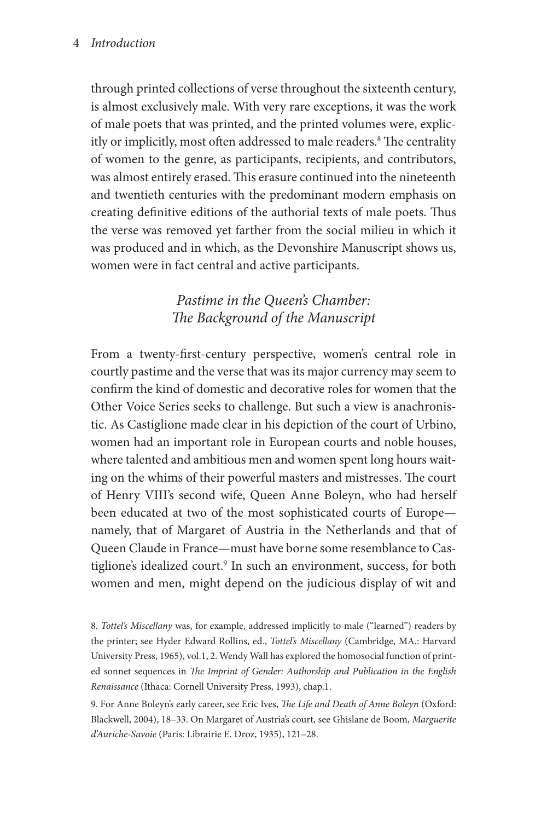#### 4 *Introduction*

through printed collections of verse throughout the sixteenth century, is almost exclusively male. With very rare exceptions, it was the work of male poets that was printed, and the printed volumes were, explicitly or implicitly, most often addressed to male readers.8 The centrality of women to the genre, as participants, recipients, and contributors, was almost entirely erased. This erasure continued into the nineteenth and twentieth centuries with the predominant modern emphasis on creating definitive editions of the authorial texts of male poets. Thus the verse was removed yet farther from the social milieu in which it was produced and in which, as the Devonshire Manuscript shows us, women were in fact central and active participants.

## *Pastime in the Queen's Chamber: The Background of the Manuscript*

From a twenty-first-century perspective, women's central role in courtly pastime and the verse that was its major currency may seem to confirm the kind of domestic and decorative roles for women that the Other Voice Series seeks to challenge. But such a view is anachronistic. As Castiglione made clear in his depiction of the court of Urbino, women had an important role in European courts and noble houses, where talented and ambitious men and women spent long hours waiting on the whims of their powerful masters and mistresses. The court of Henry VIII's second wife, Queen Anne Boleyn, who had herself been educated at two of the most sophisticated courts of Europe namely, that of Margaret of Austria in the Netherlands and that of Queen Claude in France—must have borne some resemblance to Castiglione's idealized court.<sup>9</sup> In such an environment, success, for both women and men, might depend on the judicious display of wit and

8. *Tottel's Miscellany* was, for example, addressed implicitly to male ("learned") readers by the printer; see Hyder Edward Rollins, ed., *Tottel's Miscellany* (Cambridge, MA.: Harvard University Press, 1965), vol.1, 2. Wendy Wall has explored the homosocial function of printed sonnet sequences in *The Imprint of Gender: Authorship and Publication in the English Renaissance* (Ithaca: Cornell University Press, 1993), chap.1.

9. For Anne Boleyn's early career, see Eric Ives, *The Life and Death of Anne Boleyn* (Oxford: Blackwell, 2004), 18–33. On Margaret of Austria's court, see Ghislane de Boom, *Marguerite d'Auriche-Savoie* (Paris: Librairie E. Droz, 1935), 121–28.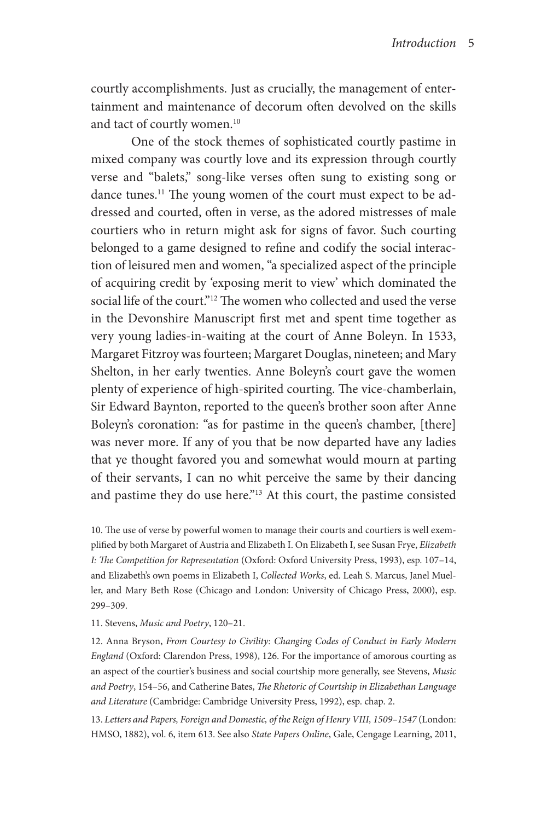courtly accomplishments. Just as crucially, the management of entertainment and maintenance of decorum often devolved on the skills and tact of courtly women.<sup>10</sup>

One of the stock themes of sophisticated courtly pastime in mixed company was courtly love and its expression through courtly verse and "balets," song-like verses often sung to existing song or dance tunes.<sup>11</sup> The young women of the court must expect to be addressed and courted, often in verse, as the adored mistresses of male courtiers who in return might ask for signs of favor. Such courting belonged to a game designed to refine and codify the social interaction of leisured men and women, "a specialized aspect of the principle of acquiring credit by 'exposing merit to view' which dominated the social life of the court."12 The women who collected and used the verse in the Devonshire Manuscript first met and spent time together as very young ladies-in-waiting at the court of Anne Boleyn. In 1533, Margaret Fitzroy was fourteen; Margaret Douglas, nineteen; and Mary Shelton, in her early twenties. Anne Boleyn's court gave the women plenty of experience of high-spirited courting. The vice-chamberlain, Sir Edward Baynton, reported to the queen's brother soon after Anne Boleyn's coronation: "as for pastime in the queen's chamber, [there] was never more. If any of you that be now departed have any ladies that ye thought favored you and somewhat would mourn at parting of their servants, I can no whit perceive the same by their dancing and pastime they do use here."13 At this court, the pastime consisted

10. The use of verse by powerful women to manage their courts and courtiers is well exemplified by both Margaret of Austria and Elizabeth I. On Elizabeth I, see Susan Frye, *Elizabeth I: The Competition for Representation* (Oxford: Oxford University Press, 1993), esp. 107–14, and Elizabeth's own poems in Elizabeth I, *Collected Works*, ed. Leah S. Marcus, Janel Mueller, and Mary Beth Rose (Chicago and London: University of Chicago Press, 2000), esp. 299–309.

11. Stevens, *Music and Poetry*, 120–21.

12. Anna Bryson, *From Courtesy to Civility: Changing Codes of Conduct in Early Modern England* (Oxford: Clarendon Press, 1998), 126. For the importance of amorous courting as an aspect of the courtier's business and social courtship more generally, see Stevens, *Music and Poetry*, 154–56, and Catherine Bates, *The Rhetoric of Courtship in Elizabethan Language and Literature* (Cambridge: Cambridge University Press, 1992), esp. chap. 2.

13. *Letters and Papers, Foreign and Domestic, of the Reign of Henry VIII, 1509–1547* (London: HMSO, 1882), vol. 6, item 613. See also *State Papers Online*, Gale, Cengage Learning, 2011,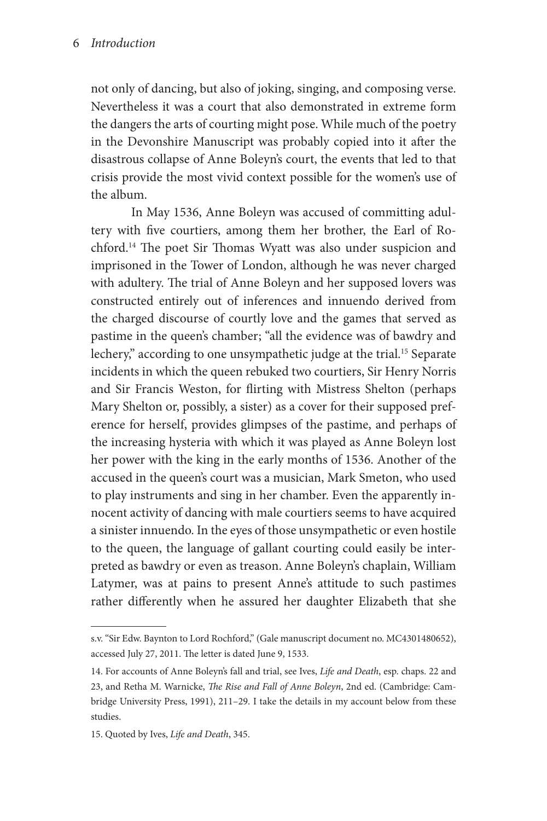not only of dancing, but also of joking, singing, and composing verse. Nevertheless it was a court that also demonstrated in extreme form the dangers the arts of courting might pose. While much of the poetry in the Devonshire Manuscript was probably copied into it after the disastrous collapse of Anne Boleyn's court, the events that led to that crisis provide the most vivid context possible for the women's use of the album.

In May 1536, Anne Boleyn was accused of committing adultery with five courtiers, among them her brother, the Earl of Rochford.14 The poet Sir Thomas Wyatt was also under suspicion and imprisoned in the Tower of London, although he was never charged with adultery. The trial of Anne Boleyn and her supposed lovers was constructed entirely out of inferences and innuendo derived from the charged discourse of courtly love and the games that served as pastime in the queen's chamber; "all the evidence was of bawdry and lechery," according to one unsympathetic judge at the trial.<sup>15</sup> Separate incidents in which the queen rebuked two courtiers, Sir Henry Norris and Sir Francis Weston, for flirting with Mistress Shelton (perhaps Mary Shelton or, possibly, a sister) as a cover for their supposed preference for herself, provides glimpses of the pastime, and perhaps of the increasing hysteria with which it was played as Anne Boleyn lost her power with the king in the early months of 1536. Another of the accused in the queen's court was a musician, Mark Smeton, who used to play instruments and sing in her chamber. Even the apparently innocent activity of dancing with male courtiers seems to have acquired a sinister innuendo. In the eyes of those unsympathetic or even hostile to the queen, the language of gallant courting could easily be interpreted as bawdry or even as treason. Anne Boleyn's chaplain, William Latymer, was at pains to present Anne's attitude to such pastimes rather differently when he assured her daughter Elizabeth that she

s.v. "Sir Edw. Baynton to Lord Rochford," (Gale manuscript document no. MC4301480652), accessed July 27, 2011. The letter is dated June 9, 1533.

<sup>14.</sup> For accounts of Anne Boleyn's fall and trial, see Ives, *Life and Death*, esp. chaps. 22 and 23, and Retha M. Warnicke, *The Rise and Fall of Anne Boleyn*, 2nd ed. (Cambridge: Cambridge University Press, 1991), 211–29. I take the details in my account below from these studies.

<sup>15.</sup> Quoted by Ives, *Life and Death*, 345.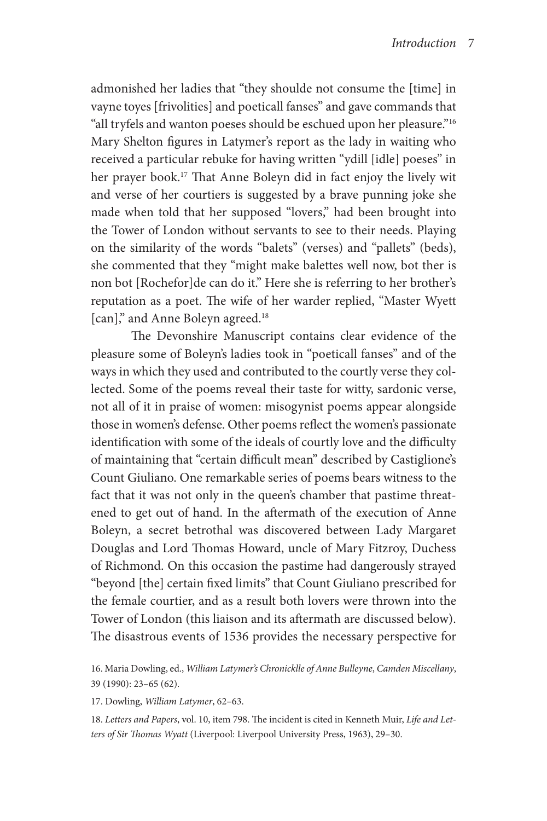admonished her ladies that "they shoulde not consume the [time] in vayne toyes [frivolities] and poeticall fanses" and gave commands that "all tryfels and wanton poeses should be eschued upon her pleasure."16 Mary Shelton figures in Latymer's report as the lady in waiting who received a particular rebuke for having written "ydill [idle] poeses" in her prayer book.<sup>17</sup> That Anne Boleyn did in fact enjoy the lively wit and verse of her courtiers is suggested by a brave punning joke she made when told that her supposed "lovers," had been brought into the Tower of London without servants to see to their needs. Playing on the similarity of the words "balets" (verses) and "pallets" (beds), she commented that they "might make balettes well now, bot ther is non bot [Rochefor]de can do it." Here she is referring to her brother's reputation as a poet. The wife of her warder replied, "Master Wyett [can]," and Anne Boleyn agreed.18

The Devonshire Manuscript contains clear evidence of the pleasure some of Boleyn's ladies took in "poeticall fanses" and of the ways in which they used and contributed to the courtly verse they collected. Some of the poems reveal their taste for witty, sardonic verse, not all of it in praise of women: misogynist poems appear alongside those in women's defense. Other poems reflect the women's passionate identification with some of the ideals of courtly love and the difficulty of maintaining that "certain difficult mean" described by Castiglione's Count Giuliano. One remarkable series of poems bears witness to the fact that it was not only in the queen's chamber that pastime threatened to get out of hand. In the aftermath of the execution of Anne Boleyn, a secret betrothal was discovered between Lady Margaret Douglas and Lord Thomas Howard, uncle of Mary Fitzroy, Duchess of Richmond. On this occasion the pastime had dangerously strayed "beyond [the] certain fixed limits" that Count Giuliano prescribed for the female courtier, and as a result both lovers were thrown into the Tower of London (this liaison and its aftermath are discussed below). The disastrous events of 1536 provides the necessary perspective for

17. Dowling, *William Latymer*, 62–63.

18. *Letters and Papers*, vol. 10, item 798. The incident is cited in Kenneth Muir, *Life and Letters of Sir Thomas Wyatt* (Liverpool: Liverpool University Press, 1963), 29–30.

<sup>16.</sup> Maria Dowling, ed., *William Latymer's Chronicklle of Anne Bulleyne*, *Camden Miscellany*, 39 (1990): 23–65 (62).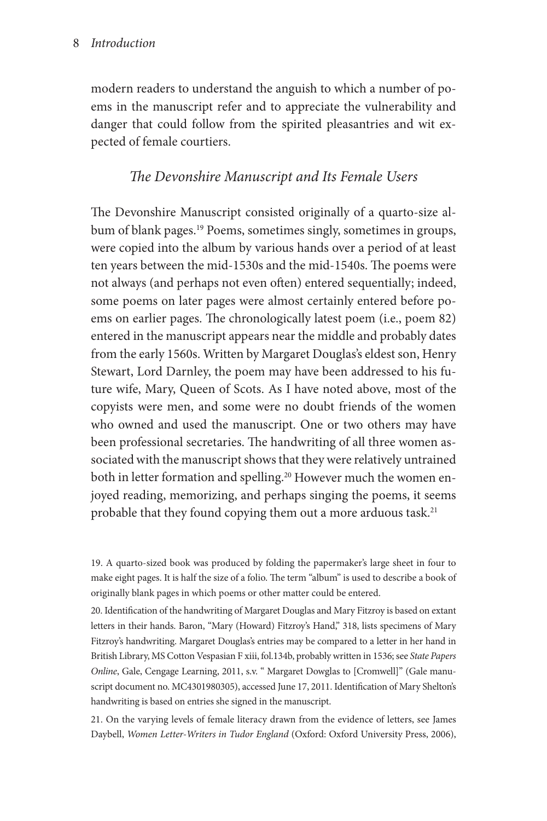modern readers to understand the anguish to which a number of poems in the manuscript refer and to appreciate the vulnerability and danger that could follow from the spirited pleasantries and wit expected of female courtiers.

## *The Devonshire Manuscript and Its Female Users*

The Devonshire Manuscript consisted originally of a quarto-size album of blank pages.<sup>19</sup> Poems, sometimes singly, sometimes in groups, were copied into the album by various hands over a period of at least ten years between the mid-1530s and the mid-1540s. The poems were not always (and perhaps not even often) entered sequentially; indeed, some poems on later pages were almost certainly entered before poems on earlier pages. The chronologically latest poem (i.e., poem 82) entered in the manuscript appears near the middle and probably dates from the early 1560s. Written by Margaret Douglas's eldest son, Henry Stewart, Lord Darnley, the poem may have been addressed to his future wife, Mary, Queen of Scots. As I have noted above, most of the copyists were men, and some were no doubt friends of the women who owned and used the manuscript. One or two others may have been professional secretaries. The handwriting of all three women associated with the manuscript shows that they were relatively untrained both in letter formation and spelling.<sup>20</sup> However much the women enjoyed reading, memorizing, and perhaps singing the poems, it seems probable that they found copying them out a more arduous task.<sup>21</sup>

19. A quarto-sized book was produced by folding the papermaker's large sheet in four to make eight pages. It is half the size of a folio. The term "album" is used to describe a book of originally blank pages in which poems or other matter could be entered.

20. Identification of the handwriting of Margaret Douglas and Mary Fitzroy is based on extant letters in their hands. Baron, "Mary (Howard) Fitzroy's Hand," 318, lists specimens of Mary Fitzroy's handwriting. Margaret Douglas's entries may be compared to a letter in her hand in British Library, MS Cotton Vespasian F xiii, fol.134b, probably written in 1536; see *State Papers Online*, Gale, Cengage Learning, 2011, s.v. " Margaret Dowglas to [Cromwell]" (Gale manuscript document no. MC4301980305), accessed June 17, 2011. Identification of Mary Shelton's handwriting is based on entries she signed in the manuscript.

21. On the varying levels of female literacy drawn from the evidence of letters, see James Daybell, *Women Letter-Writers in Tudor England* (Oxford: Oxford University Press, 2006),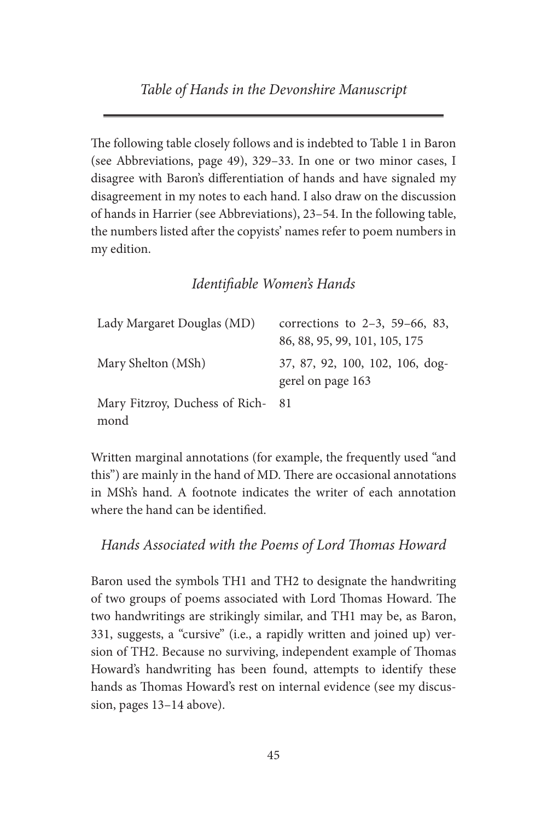*Table of Hands in the Devonshire Manuscript*

The following table closely follows and is indebted to Table 1 in Baron (see Abbreviations, page 49), 329–33. In one or two minor cases, I disagree with Baron's differentiation of hands and have signaled my disagreement in my notes to each hand. I also draw on the discussion of hands in Harrier (see Abbreviations), 23–54. In the following table, the numbers listed after the copyists' names refer to poem numbers in my edition.

### *Identifiable Women's Hands*

| Lady Margaret Douglas (MD)               | corrections to $2-3$ , 59–66, 83,                    |
|------------------------------------------|------------------------------------------------------|
|                                          | 86, 88, 95, 99, 101, 105, 175                        |
| Mary Shelton (MSh)                       | 37, 87, 92, 100, 102, 106, dog-<br>gerel on page 163 |
| Mary Fitzroy, Duchess of Rich-81<br>mond |                                                      |

Written marginal annotations (for example, the frequently used "and this") are mainly in the hand of MD. There are occasional annotations in MSh's hand. A footnote indicates the writer of each annotation where the hand can be identified.

*Hands Associated with the Poems of Lord Thomas Howard*

Baron used the symbols TH1 and TH2 to designate the handwriting of two groups of poems associated with Lord Thomas Howard. The two handwritings are strikingly similar, and TH1 may be, as Baron, 331, suggests, a "cursive" (i.e., a rapidly written and joined up) version of TH2. Because no surviving, independent example of Thomas Howard's handwriting has been found, attempts to identify these hands as Thomas Howard's rest on internal evidence (see my discussion, pages 13–14 above).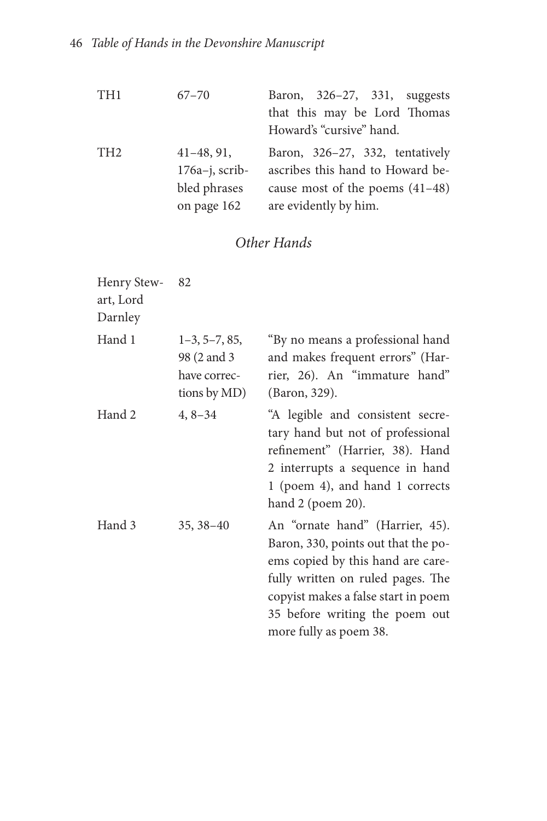| TH <sub>1</sub> | $67 - 70$           | Baron, 326-27, 331, suggests      |
|-----------------|---------------------|-----------------------------------|
|                 |                     | that this may be Lord Thomas      |
|                 |                     | Howard's "cursive" hand.          |
| TH <sub>2</sub> | $41 - 48, 91,$      | Baron, 326–27, 332, tentatively   |
|                 | $176a - j$ , scrib- | ascribes this hand to Howard be-  |
|                 | bled phrases        | cause most of the poems $(41-48)$ |
|                 | on page 162         | are evidently by him.             |

# *Other Hands*

| Henry Stew-82<br>art, Lord<br>Darnley |                                                                 |                                                                                                                                                                                                                                                     |
|---------------------------------------|-----------------------------------------------------------------|-----------------------------------------------------------------------------------------------------------------------------------------------------------------------------------------------------------------------------------------------------|
| Hand 1                                | $1-3, 5-7, 85,$<br>98 (2 and 3)<br>have correc-<br>tions by MD) | "By no means a professional hand<br>and makes frequent errors" (Har-<br>rier, 26). An "immature hand"<br>(Baron, 329).                                                                                                                              |
| Hand 2                                | $4, 8 - 34$                                                     | "A legible and consistent secre-<br>tary hand but not of professional<br>refinement" (Harrier, 38). Hand<br>2 interrupts a sequence in hand<br>1 (poem 4), and hand 1 corrects<br>hand 2 (poem 20).                                                 |
| Hand 3                                | $35, 38 - 40$                                                   | An "ornate hand" (Harrier, 45).<br>Baron, 330, points out that the po-<br>ems copied by this hand are care-<br>fully written on ruled pages. The<br>copyist makes a false start in poem<br>35 before writing the poem out<br>more fully as poem 38. |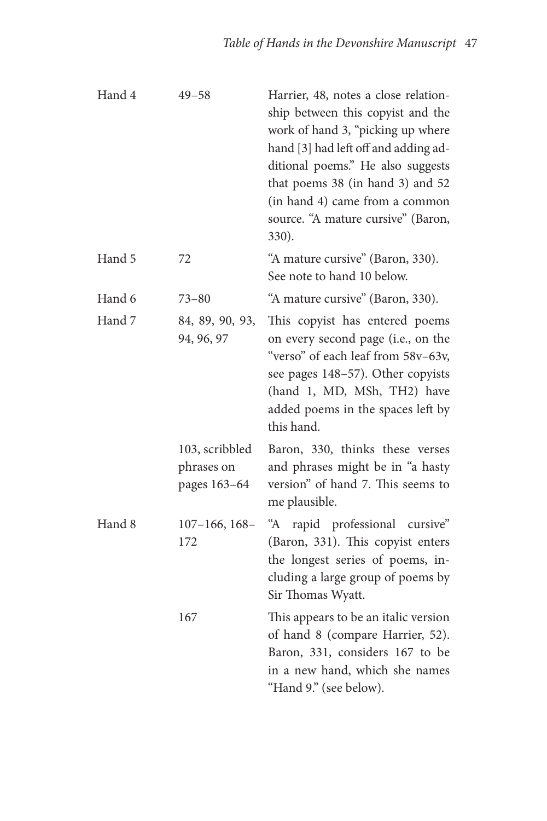| Hand 4 | $49 - 58$                                    | Harrier, 48, notes a close relation-<br>ship between this copyist and the<br>work of hand 3, "picking up where<br>hand [3] had left off and adding ad-<br>ditional poems." He also suggests<br>that poems 38 (in hand 3) and 52<br>(in hand 4) came from a common<br>source. "A mature cursive" (Baron,<br>330). |
|--------|----------------------------------------------|------------------------------------------------------------------------------------------------------------------------------------------------------------------------------------------------------------------------------------------------------------------------------------------------------------------|
| Hand 5 | 72                                           | "A mature cursive" (Baron, 330).<br>See note to hand 10 below.                                                                                                                                                                                                                                                   |
| Hand 6 | $73 - 80$                                    | "A mature cursive" (Baron, 330).                                                                                                                                                                                                                                                                                 |
| Hand 7 | 84, 89, 90, 93,<br>94, 96, 97                | This copyist has entered poems<br>on every second page (i.e., on the<br>"verso" of each leaf from 58v-63v,<br>see pages 148-57). Other copyists<br>(hand 1, MD, MSh, TH2) have<br>added poems in the spaces left by<br>this hand.                                                                                |
|        | 103, scribbled<br>phrases on<br>pages 163-64 | Baron, 330, thinks these verses<br>and phrases might be in "a hasty<br>version" of hand 7. This seems to<br>me plausible.                                                                                                                                                                                        |
| Hand 8 | $107 - 166$ , $168 -$<br>172                 | rapid professional cursive"<br>"A<br>(Baron, 331). This copyist enters<br>the longest series of poems, in-<br>cluding a large group of poems by<br>Sir Thomas Wyatt.                                                                                                                                             |
|        | 167                                          | This appears to be an italic version<br>of hand 8 (compare Harrier, 52).<br>Baron, 331, considers 167 to be<br>in a new hand, which she names<br>"Hand 9." (see below).                                                                                                                                          |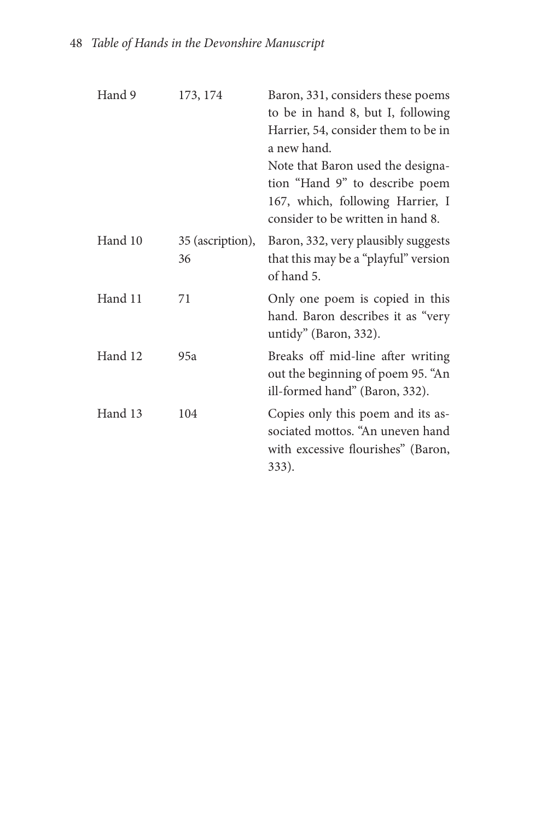| Hand 9  | 173, 174               | Baron, 331, considers these poems<br>to be in hand 8, but I, following<br>Harrier, 54, consider them to be in<br>a new hand.<br>Note that Baron used the designa-<br>tion "Hand 9" to describe poem<br>167, which, following Harrier, I<br>consider to be written in hand 8. |
|---------|------------------------|------------------------------------------------------------------------------------------------------------------------------------------------------------------------------------------------------------------------------------------------------------------------------|
| Hand 10 | 35 (ascription),<br>36 | Baron, 332, very plausibly suggests<br>that this may be a "playful" version<br>of hand 5.                                                                                                                                                                                    |
| Hand 11 | 71                     | Only one poem is copied in this<br>hand. Baron describes it as "very<br>untidy" (Baron, 332).                                                                                                                                                                                |
| Hand 12 | 95a                    | Breaks off mid-line after writing<br>out the beginning of poem 95. "An<br>ill-formed hand" (Baron, 332).                                                                                                                                                                     |
| Hand 13 | 104                    | Copies only this poem and its as-<br>sociated mottos. "An uneven hand<br>with excessive flourishes" (Baron,<br>333).                                                                                                                                                         |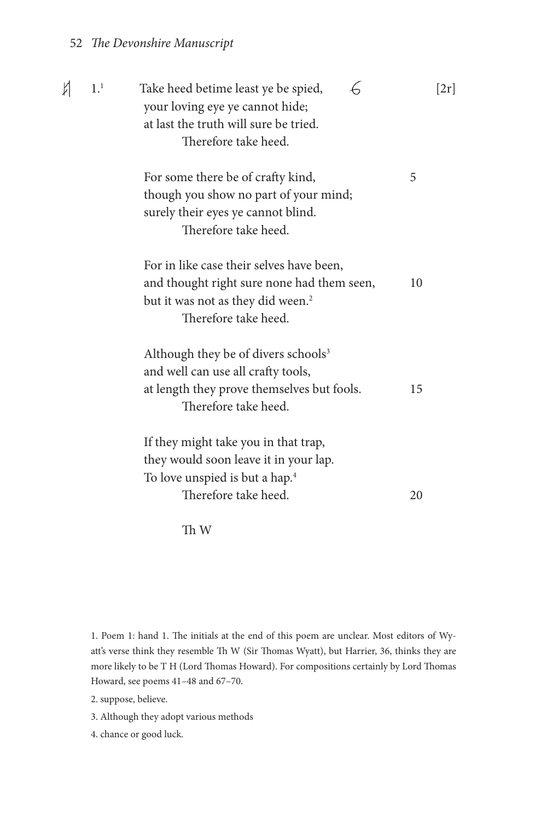### 52 *The Devonshire Manuscript*

| И | 1 <sup>1</sup> | Take heed betime least ye be spied,<br>your loving eye ye cannot hide;<br>at last the truth will sure be tried.<br>Therefore take heed.                         |    | [2r] |
|---|----------------|-----------------------------------------------------------------------------------------------------------------------------------------------------------------|----|------|
|   |                | For some there be of crafty kind,<br>though you show no part of your mind;<br>surely their eyes ye cannot blind.<br>Therefore take heed.                        | 5  |      |
|   |                | For in like case their selves have been,<br>and thought right sure none had them seen,<br>but it was not as they did ween. <sup>2</sup><br>Therefore take heed. | 10 |      |
|   |                | Although they be of divers schools <sup>3</sup><br>and well can use all crafty tools,<br>at length they prove themselves but fools.<br>Therefore take heed.     | 15 |      |
|   |                | If they might take you in that trap,<br>they would soon leave it in your lap.<br>To love unspied is but a hap. <sup>4</sup><br>Therefore take heed.             | 20 |      |

Th W

1. Poem 1: hand 1. The initials at the end of this poem are unclear. Most editors of Wyatt's verse think they resemble Th W (Sir Thomas Wyatt), but Harrier, 36, thinks they are more likely to be T H (Lord Thomas Howard). For compositions certainly by Lord Thomas Howard, see poems 41–48 and 67–70.

2. suppose, believe.

3. Although they adopt various methods

4. chance or good luck.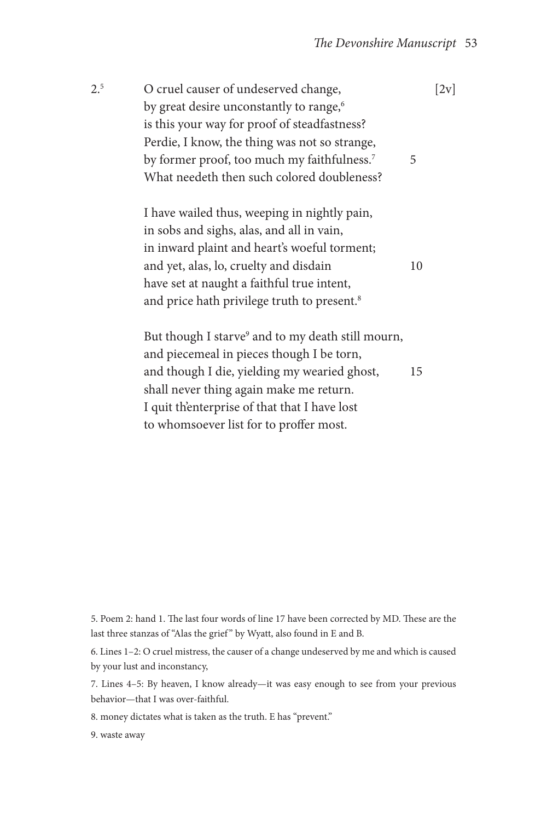| 2 <sup>5</sup> | O cruel causer of undeserved change,                    |   | [2v] |
|----------------|---------------------------------------------------------|---|------|
|                | by great desire unconstantly to range, <sup>6</sup>     |   |      |
|                | is this your way for proof of steadfastness?            |   |      |
|                | Perdie, I know, the thing was not so strange,           |   |      |
|                | by former proof, too much my faithfulness. <sup>7</sup> | 5 |      |
|                | What needeth then such colored doubleness?              |   |      |

I have wailed thus, weeping in nightly pain, in sobs and sighs, alas, and all in vain, in inward plaint and heart's woeful torment; and yet, alas, lo, cruelty and disdain 10 have set at naught a faithful true intent, and price hath privilege truth to present.<sup>8</sup>

But though I starve<sup>9</sup> and to my death still mourn, and piecemeal in pieces though I be torn, and though I die, yielding my wearied ghost, 15 shall never thing again make me return. I quit th'enterprise of that that I have lost to whomsoever list for to proffer most.

5. Poem 2: hand 1. The last four words of line 17 have been corrected by MD. These are the last three stanzas of "Alas the grief" by Wyatt, also found in E and B.

6. Lines 1–2: O cruel mistress, the causer of a change undeserved by me and which is caused by your lust and inconstancy,

7. Lines 4–5: By heaven, I know already—it was easy enough to see from your previous behavior—that I was over-faithful.

8. money dictates what is taken as the truth. E has "prevent."

9. waste away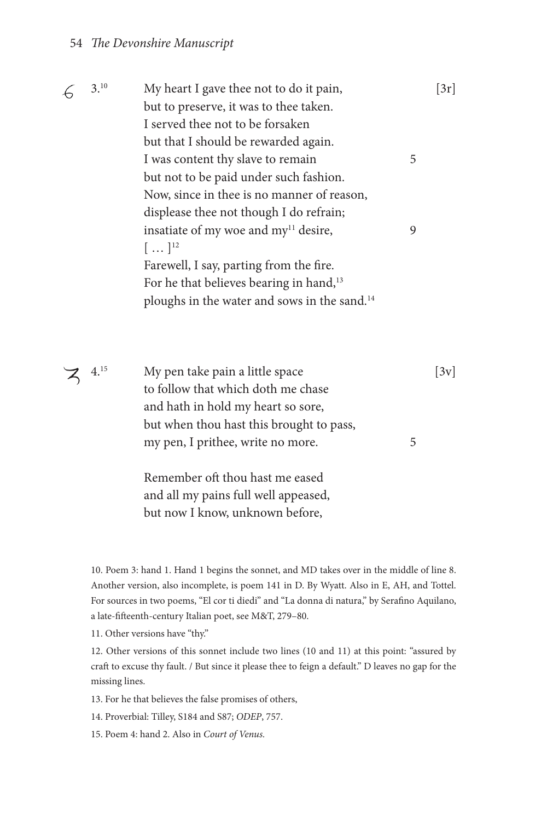#### 54 *The Devonshire Manuscript*

| 3.10 | My heart I gave thee not to do it pain,                  |   | [3r] |
|------|----------------------------------------------------------|---|------|
|      | but to preserve, it was to thee taken.                   |   |      |
|      | I served thee not to be forsaken                         |   |      |
|      | but that I should be rewarded again.                     |   |      |
|      | I was content thy slave to remain                        | 5 |      |
|      | but not to be paid under such fashion.                   |   |      |
|      | Now, since in thee is no manner of reason,               |   |      |
|      | displease thee not though I do refrain;                  |   |      |
|      | insatiate of my woe and my <sup>11</sup> desire,         | 9 |      |
|      | $[\,\dots\,]^{12}$                                       |   |      |
|      | Farewell, I say, parting from the fire.                  |   |      |
|      | For he that believes bearing in hand, <sup>13</sup>      |   |      |
|      | ploughs in the water and sows in the sand. <sup>14</sup> |   |      |
|      |                                                          |   |      |

 $\mathbb{Z}$  4.<sup>15</sup> My pen take pain a little space [3v] to follow that which doth me chase and hath in hold my heart so sore, but when thou hast this brought to pass, my pen, I prithee, write no more. 5

> Remember oft thou hast me eased and all my pains full well appeased, but now I know, unknown before,

10. Poem 3: hand 1. Hand 1 begins the sonnet, and MD takes over in the middle of line 8. Another version, also incomplete, is poem 141 in D. By Wyatt. Also in E, AH, and Tottel. For sources in two poems, "El cor ti diedi" and "La donna di natura," by Serafino Aquilano, a late-fifteenth-century Italian poet, see M&T, 279–80.

11. Other versions have "thy."

12. Other versions of this sonnet include two lines (10 and 11) at this point: "assured by craft to excuse thy fault. / But since it please thee to feign a default." D leaves no gap for the missing lines.

13. For he that believes the false promises of others,

14. Proverbial: Tilley, S184 and S87; *ODEP*, 757.

15. Poem 4: hand 2. Also in *Court of Venus.*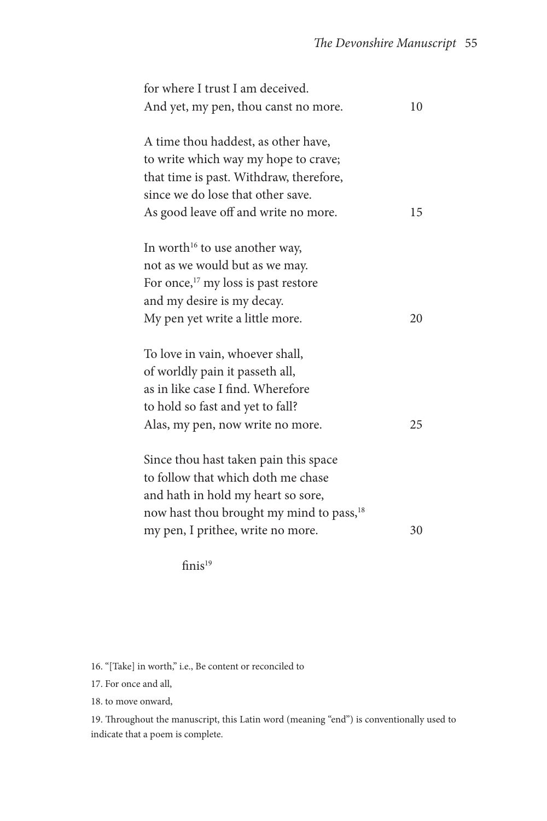| for where I trust I am deceived.                     |    |
|------------------------------------------------------|----|
| And yet, my pen, thou canst no more.                 | 10 |
|                                                      |    |
| A time thou haddest, as other have,                  |    |
| to write which way my hope to crave;                 |    |
| that time is past. Withdraw, therefore,              |    |
| since we do lose that other save.                    |    |
| As good leave off and write no more.                 | 15 |
|                                                      |    |
| In worth <sup>16</sup> to use another way,           |    |
| not as we would but as we may.                       |    |
| For once, <sup>17</sup> my loss is past restore      |    |
| and my desire is my decay.                           |    |
| My pen yet write a little more.                      | 20 |
|                                                      |    |
| To love in vain, whoever shall,                      |    |
| of worldly pain it passeth all,                      |    |
| as in like case I find. Wherefore                    |    |
| to hold so fast and yet to fall?                     |    |
| Alas, my pen, now write no more.                     | 25 |
|                                                      |    |
| Since thou hast taken pain this space                |    |
| to follow that which doth me chase                   |    |
| and hath in hold my heart so sore,                   |    |
| now hast thou brought my mind to pass, <sup>18</sup> |    |
| my pen, I prithee, write no more.                    | 30 |
|                                                      |    |

finis<sup>19</sup>

16. "[Take] in worth," i.e., Be content or reconciled to

17. For once and all,

18. to move onward,

19. Throughout the manuscript, this Latin word (meaning "end") is conventionally used to indicate that a poem is complete.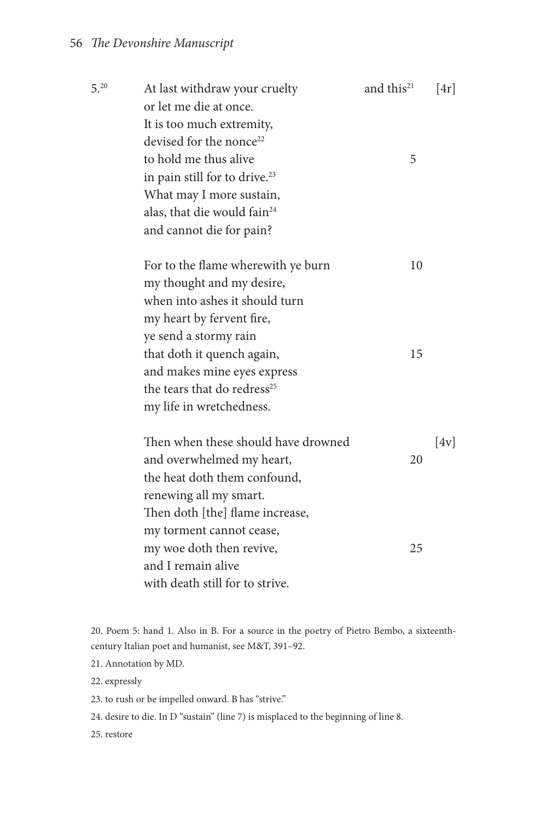| $5^{0.20}$ | At last withdraw your cruelty<br>or let me die at once.          | and this <sup>21</sup> | [4r] |
|------------|------------------------------------------------------------------|------------------------|------|
|            |                                                                  |                        |      |
|            | It is too much extremity,<br>devised for the nonce <sup>22</sup> |                        |      |
|            | to hold me thus alive                                            | 5                      |      |
|            |                                                                  |                        |      |
|            | in pain still for to drive. <sup>23</sup>                        |                        |      |
|            | What may I more sustain,                                         |                        |      |
|            | alas, that die would fain <sup>24</sup>                          |                        |      |
|            | and cannot die for pain?                                         |                        |      |
|            | For to the flame wherewith ye burn                               | 10                     |      |
|            | my thought and my desire,                                        |                        |      |
|            | when into ashes it should turn                                   |                        |      |
|            | my heart by fervent fire,                                        |                        |      |
|            | ye send a stormy rain                                            |                        |      |
|            | that doth it quench again,                                       | 15                     |      |
|            | and makes mine eyes express                                      |                        |      |
|            | the tears that do redress <sup>25</sup>                          |                        |      |
|            | my life in wretchedness.                                         |                        |      |
|            | Then when these should have drowned                              |                        | [4v] |
|            | and overwhelmed my heart,                                        | 20                     |      |
|            | the heat doth them confound,                                     |                        |      |
|            | renewing all my smart.                                           |                        |      |
|            | Then doth [the] flame increase,                                  |                        |      |
|            | my torment cannot cease,                                         |                        |      |
|            | my woe doth then revive,                                         | 25                     |      |
|            | and I remain alive                                               |                        |      |
|            | with death still for to strive.                                  |                        |      |
|            |                                                                  |                        |      |

20. Poem 5: hand 1. Also in B. For a source in the poetry of Pietro Bembo, a sixteenthcentury Italian poet and humanist, see M&T, 391–92.

21. Annotation by MD.

22. expressly

23. to rush or be impelled onward. B has "strive."

24. desire to die. In D "sustain" (line 7) is misplaced to the beginning of line 8.

25. restore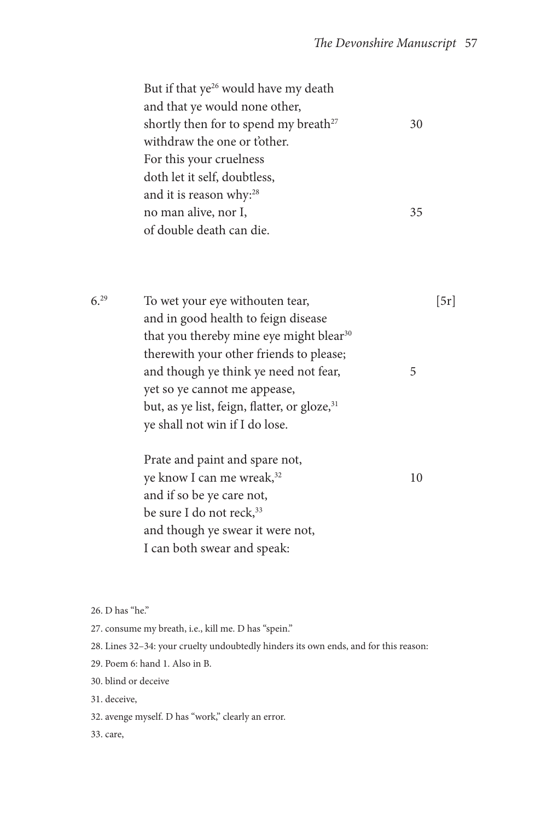| But if that ye <sup>26</sup> would have my death  |    |
|---------------------------------------------------|----|
| and that ye would none other,                     |    |
| shortly then for to spend my breath <sup>27</sup> | 30 |
| withdraw the one or tother.                       |    |
| For this your cruelness                           |    |
| doth let it self, doubtless,                      |    |
| and it is reason why: <sup>28</sup>               |    |
| no man alive, nor I,                              | 35 |
| of double death can die.                          |    |
|                                                   |    |

| 6.29 | To wet your eye withouten tear,                          |    | 5r |
|------|----------------------------------------------------------|----|----|
|      | and in good health to feign disease                      |    |    |
|      | that you thereby mine eye might blear <sup>30</sup>      |    |    |
|      | therewith your other friends to please;                  |    |    |
|      | and though ye think ye need not fear,                    | 5  |    |
|      | yet so ye cannot me appease,                             |    |    |
|      | but, as ye list, feign, flatter, or gloze, <sup>31</sup> |    |    |
|      | ye shall not win if I do lose.                           |    |    |
|      | Prate and paint and spare not,                           |    |    |
|      | ye know I can me wreak, <sup>32</sup>                    | 10 |    |
|      | and if so be ye care not,                                |    |    |
|      | be sure I do not reck, <sup>33</sup>                     |    |    |
|      | and though ye swear it were not,                         |    |    |
|      | I can both swear and speak:                              |    |    |

26. D has "he."

27. consume my breath, i.e., kill me. D has "spein."

28. Lines 32–34: your cruelty undoubtedly hinders its own ends, and for this reason:

29. Poem 6: hand 1. Also in B.

30. blind or deceive

31. deceive,

32. avenge myself. D has "work," clearly an error.

33. care,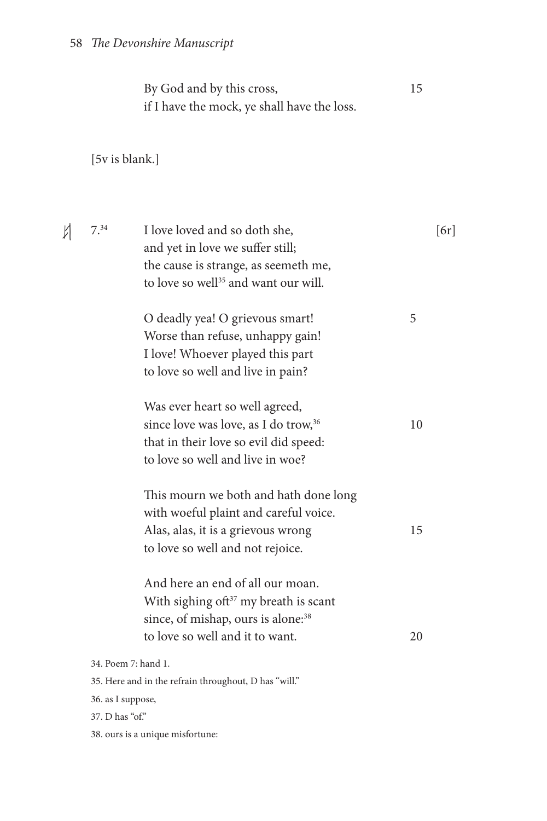By God and by this cross, 15 if I have the mock, ye shall have the loss.

[5v is blank.]

| N | 7.34                                 | I love loved and so doth she,<br>and yet in love we suffer still;<br>the cause is strange, as seemeth me,<br>to love so well <sup>35</sup> and want our will.        | [6r] |
|---|--------------------------------------|----------------------------------------------------------------------------------------------------------------------------------------------------------------------|------|
|   |                                      | O deadly yea! O grievous smart!<br>Worse than refuse, unhappy gain!<br>I love! Whoever played this part<br>to love so well and live in pain?                         | 5    |
|   |                                      | Was ever heart so well agreed,<br>since love was love, as I do trow, <sup>36</sup><br>that in their love so evil did speed:<br>to love so well and live in woe?      | 10   |
|   |                                      | This mourn we both and hath done long<br>with woeful plaint and careful voice.<br>Alas, alas, it is a grievous wrong<br>to love so well and not rejoice.             | 15   |
|   |                                      | And here an end of all our moan.<br>With sighing of $t^{37}$ my breath is scant<br>since, of mishap, ours is alone: <sup>38</sup><br>to love so well and it to want. | 20   |
|   | 36. as I suppose,<br>37. D has "of." | 34. Poem 7: hand 1.<br>35. Here and in the refrain throughout, D has "will."                                                                                         |      |
|   |                                      | 38. ours is a unique misfortune:                                                                                                                                     |      |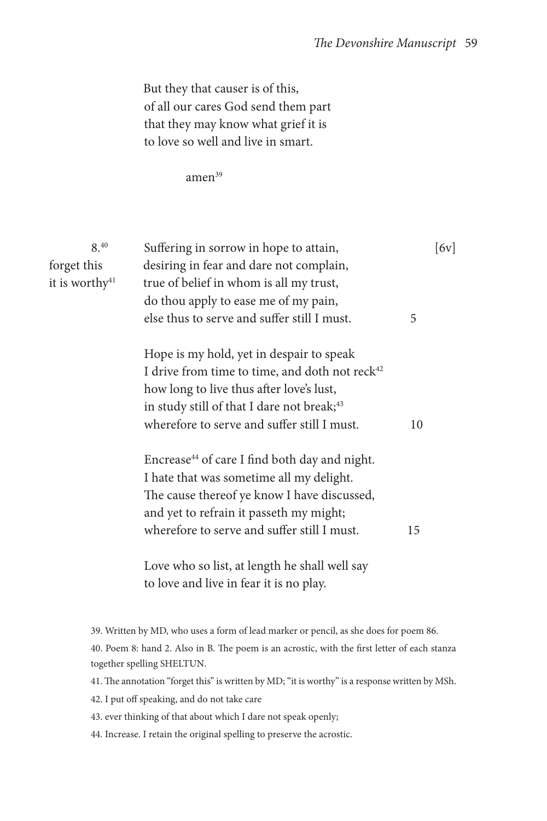But they that causer is of this, of all our cares God send them part that they may know what grief it is to love so well and live in smart.

amen<sup>39</sup>

| 8.40<br>forget this<br>it is worthy <sup>41</sup> | [6v]<br>Suffering in sorrow in hope to attain,<br>desiring in fear and dare not complain,<br>true of belief in whom is all my trust, |  |  |  |  |
|---------------------------------------------------|--------------------------------------------------------------------------------------------------------------------------------------|--|--|--|--|
|                                                   | do thou apply to ease me of my pain,                                                                                                 |  |  |  |  |
|                                                   | else thus to serve and suffer still I must.<br>5                                                                                     |  |  |  |  |
|                                                   | Hope is my hold, yet in despair to speak                                                                                             |  |  |  |  |
|                                                   | I drive from time to time, and doth not reck <sup>42</sup>                                                                           |  |  |  |  |
|                                                   | how long to live thus after love's lust,                                                                                             |  |  |  |  |
|                                                   | in study still of that I dare not break; <sup>43</sup>                                                                               |  |  |  |  |
|                                                   | wherefore to serve and suffer still I must.<br>10                                                                                    |  |  |  |  |
|                                                   | Encrease <sup>44</sup> of care I find both day and night.                                                                            |  |  |  |  |
|                                                   | I hate that was sometime all my delight.                                                                                             |  |  |  |  |
|                                                   | The cause thereof ye know I have discussed,                                                                                          |  |  |  |  |
|                                                   | and yet to refrain it passeth my might;                                                                                              |  |  |  |  |
|                                                   | wherefore to serve and suffer still I must.<br>15                                                                                    |  |  |  |  |
|                                                   | Love who so list, at length he shall well say                                                                                        |  |  |  |  |
|                                                   | to love and live in fear it is no play.                                                                                              |  |  |  |  |
|                                                   |                                                                                                                                      |  |  |  |  |
|                                                   | 39. Written by MD, who uses a form of lead marker or pencil, as she does for poem 86.                                                |  |  |  |  |
|                                                   | 40. Poem 8: hand 2. Also in B. The poem is an acrostic, with the first letter of each stanza<br>together spelling SHELTUN.           |  |  |  |  |
|                                                   | 41. The annotation "forget this" is written by MD; "it is worthy" is a response written by MSh.                                      |  |  |  |  |
|                                                   | 42. I put off speaking, and do not take care                                                                                         |  |  |  |  |

- 43. ever thinking of that about which I dare not speak openly;
- 44. Increase. I retain the original spelling to preserve the acrostic.